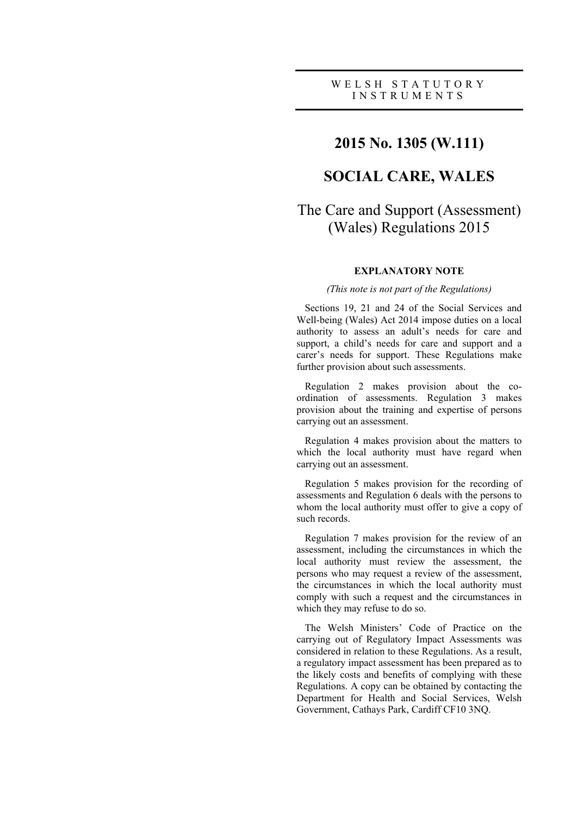# **2015 No. 1305 (W.111)**

# **SOCIAL CARE, WALES**

# The Care and Support (Assessment) (Wales) Regulations 2015

### **EXPLANATORY NOTE**

### *(This note is not part of the Regulations)*

Sections 19, 21 and 24 of the Social Services and Well-being (Wales) Act 2014 impose duties on a local authority to assess an adult's needs for care and support, a child's needs for care and support and a carer's needs for support. These Regulations make further provision about such assessments.

Regulation 2 makes provision about the coordination of assessments. Regulation 3 makes provision about the training and expertise of persons carrying out an assessment.

Regulation 4 makes provision about the matters to which the local authority must have regard when carrying out an assessment.

Regulation 5 makes provision for the recording of assessments and Regulation 6 deals with the persons to whom the local authority must offer to give a copy of such records.

Regulation 7 makes provision for the review of an assessment, including the circumstances in which the local authority must review the assessment, the persons who may request a review of the assessment, the circumstances in which the local authority must comply with such a request and the circumstances in which they may refuse to do so.

The Welsh Ministers' Code of Practice on the carrying out of Regulatory Impact Assessments was considered in relation to these Regulations. As a result, a regulatory impact assessment has been prepared as to the likely costs and benefits of complying with these Regulations. A copy can be obtained by contacting the Department for Health and Social Services, Welsh Government, Cathays Park, Cardiff CF10 3NQ.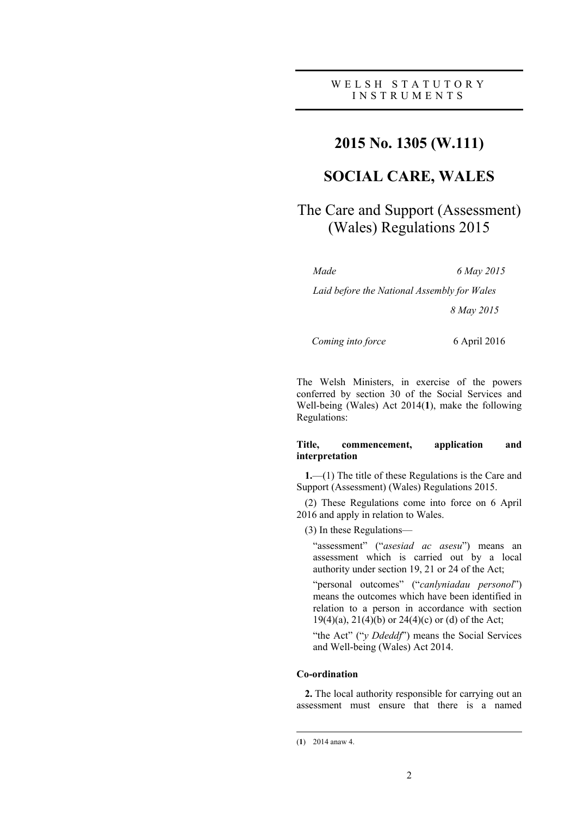# **2015 No. 1305 (W.111)**

# **SOCIAL CARE, WALES**

# The Care and Support (Assessment) (Wales) Regulations 2015

*Made 6 May 2015*

*Laid before the National Assembly for Wales 8 May 2015*

 *Coming into force* 6 April 2016

The Welsh Ministers, in exercise of the powers conferred by section 30 of the Social Services and Well-being (Wales) Act 2014(**1**), make the following Regulations:

### **Title, commencement, application and interpretation**

**1.**—(1) The title of these Regulations is the Care and Support (Assessment) (Wales) Regulations 2015.

(2) These Regulations come into force on 6 April 2016 and apply in relation to Wales.

(3) In these Regulations—

"assessment" ("*asesiad ac asesu*") means an assessment which is carried out by a local authority under section 19, 21 or 24 of the Act;

"personal outcomes" ("*canlyniadau personol*") means the outcomes which have been identified in relation to a person in accordance with section 19(4)(a), 21(4)(b) or 24(4)(c) or (d) of the Act;

"the Act" ("*y Ddeddf*") means the Social Services and Well-being (Wales) Act 2014.

### **Co-ordination**

**2.** The local authority responsible for carrying out an assessment must ensure that there is a named

<sup>(</sup>**1**) 2014 anaw 4.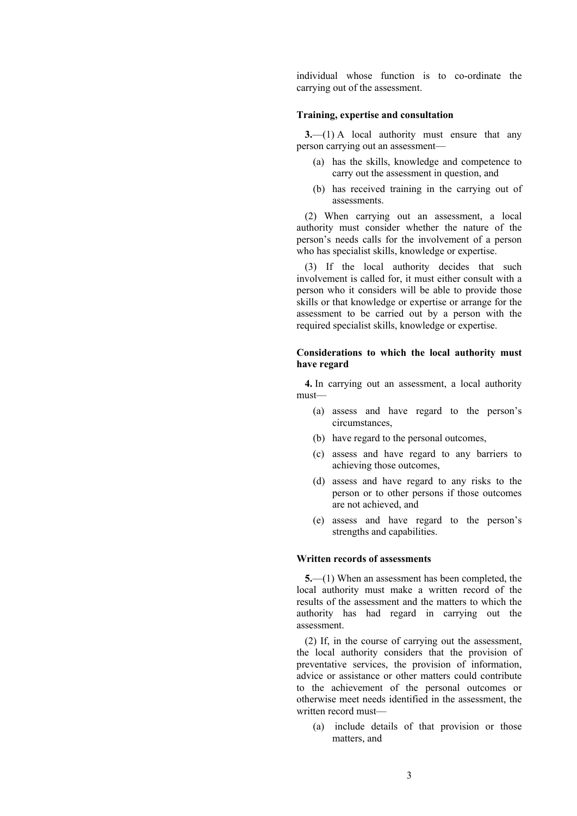individual whose function is to co-ordinate the carrying out of the assessment.

#### **Training, expertise and consultation**

**3.**—(1) A local authority must ensure that any person carrying out an assessment—

- (a) has the skills, knowledge and competence to carry out the assessment in question, and
- (b) has received training in the carrying out of assessments.

(2) When carrying out an assessment, a local authority must consider whether the nature of the person's needs calls for the involvement of a person who has specialist skills, knowledge or expertise.

(3) If the local authority decides that such involvement is called for, it must either consult with a person who it considers will be able to provide those skills or that knowledge or expertise or arrange for the assessment to be carried out by a person with the required specialist skills, knowledge or expertise.

#### **Considerations to which the local authority must have regard**

**4.** In carrying out an assessment, a local authority must—

- (a) assess and have regard to the person's circumstances,
- (b) have regard to the personal outcomes,
- (c) assess and have regard to any barriers to achieving those outcomes,
- (d) assess and have regard to any risks to the person or to other persons if those outcomes are not achieved, and
- (e) assess and have regard to the person's strengths and capabilities.

## **Written records of assessments**

**5.**—(1) When an assessment has been completed, the local authority must make a written record of the results of the assessment and the matters to which the authority has had regard in carrying out the assessment.

(2) If, in the course of carrying out the assessment, the local authority considers that the provision of preventative services, the provision of information, advice or assistance or other matters could contribute to the achievement of the personal outcomes or otherwise meet needs identified in the assessment, the written record must—

(a) include details of that provision or those matters, and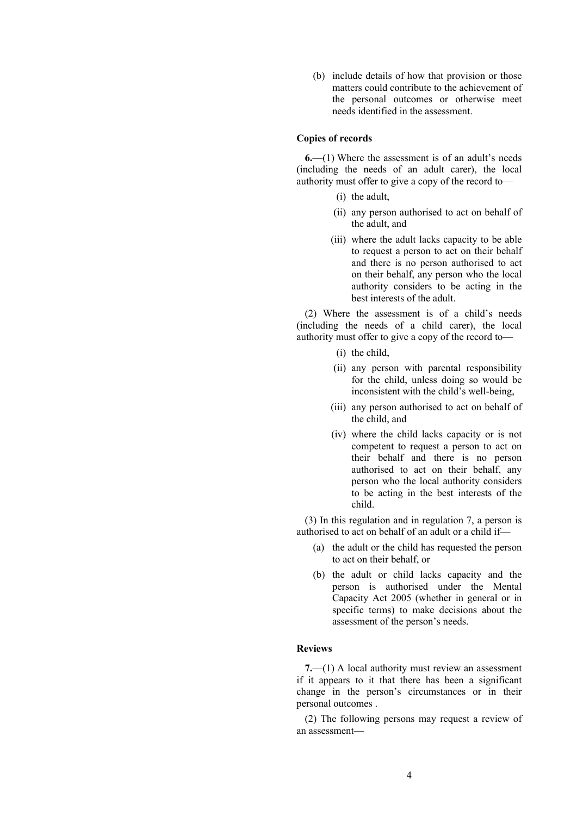(b) include details of how that provision or those matters could contribute to the achievement of the personal outcomes or otherwise meet needs identified in the assessment.

### **Copies of records**

**6.**—(1) Where the assessment is of an adult's needs (including the needs of an adult carer), the local authority must offer to give a copy of the record to—

- (i) the adult,
- (ii) any person authorised to act on behalf of the adult, and
- (iii) where the adult lacks capacity to be able to request a person to act on their behalf and there is no person authorised to act on their behalf, any person who the local authority considers to be acting in the best interests of the adult.

(2) Where the assessment is of a child's needs (including the needs of a child carer), the local authority must offer to give a copy of the record to—

- (i) the child,
- (ii) any person with parental responsibility for the child, unless doing so would be inconsistent with the child's well-being,
- (iii) any person authorised to act on behalf of the child, and
- (iv) where the child lacks capacity or is not competent to request a person to act on their behalf and there is no person authorised to act on their behalf, any person who the local authority considers to be acting in the best interests of the child.

(3) In this regulation and in regulation 7, a person is authorised to act on behalf of an adult or a child if—

- (a) the adult or the child has requested the person to act on their behalf, or
- (b) the adult or child lacks capacity and the person is authorised under the Mental Capacity Act 2005 (whether in general or in specific terms) to make decisions about the assessment of the person's needs.

### **Reviews**

**7.**—(1) A local authority must review an assessment if it appears to it that there has been a significant change in the person's circumstances or in their personal outcomes .

(2) The following persons may request a review of an assessment—